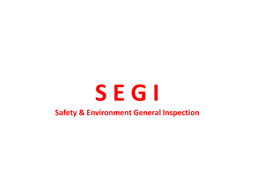# **S E G I Safety & Environment General Inspection**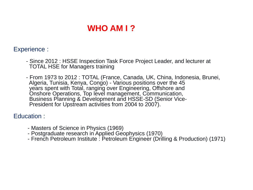### **WHO AM I ?**

#### Experience :

- Since 2012 : HSSE Inspection Task Force Project Leader, and lecturer at TOTAL HSE for Managers training
- From 1973 to 2012 : TOTAL (France, Canada, UK, China, Indonesia, Brunei, Algeria, Tunisia, Kenya, Congo) - Various positions over the 45 years spent with Total, ranging over Engineering, Offshore and Onshore Operations, Top level management, Communication, Business Planning & Development and HSSE-SD (Senior Vice-President for Upstream activities from 2004 to 2007).

#### Education :

- Masters of Science in Physics (1969)
- Postgraduate research in Applied Geophysics (1970)
- French Petroleum Institute : Petroleum Engineer (Drilling & Production) (1971)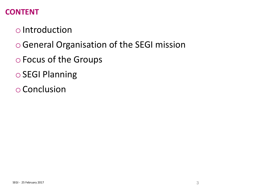### **CONTENT**

- o Introduction
- oGeneral Organisation of the SEGI mission
- o Focus of the Groups
- o SEGI Planning
- o Conclusion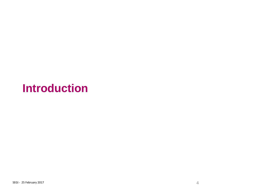## **Introduction**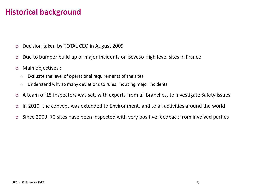### **Historical background**

- o Decision taken by TOTAL CEO in August 2009
- o Due to bumper build up of major incidents on Seveso High level sites in France
- o Main objectives :
	- $\circ$  Evaluate the level of operational requirements of the sites
	- o Understand why so many deviations to rules, inducing major incidents
- o A team of 15 inspectors was set, with experts from all Branches, to investigate Safety issues
- o In 2010, the concept was extended to Environment, and to all activities around the world
- o Since 2009, 70 sites have been inspected with very positive feedback from involved parties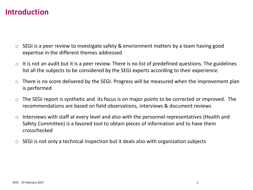#### **Introduction**

- o SEGI is a peer review to investigate safety & environment matters by a team having good expertise in the different themes addressed
- $\circ$  It is not an audit but it is a peer review. There is no list of predefined questions. The guidelines list all the subjects to be considered by the SEGI experts according to their experience.
- o There is no score delivered by the SEGI. Progress will be measured when the improvement plan is performed
- $\circ$  The SEGI report is synthetic and its focus is on major points to be corrected or improved. The recommendations are based on field observations, interviews & document reviews
- o Interviews with staff at every level and also with the personnel representatives (Health and Safety Committee) is a favored tool to obtain pieces of information and to have them crosschecked
- o SEGI is not only a technical inspection but it deals also with organization subjects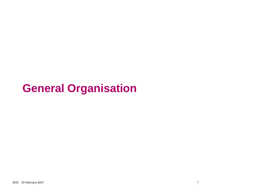## **General Organisation**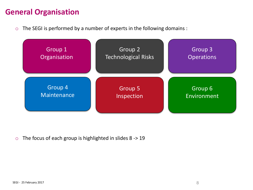### **General Organisation**

o The SEGI is performed by a number of experts in the following domains :



 $\circ$  The focus of each group is highlighted in slides 8 -> 19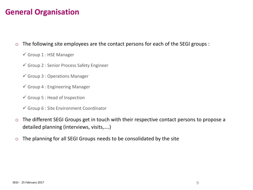### **General Organisation**

#### o The following site employees are the contact persons for each of the SEGI groups :

- $\checkmark$  Group 1 : HSE Manager
- Group 2 : Senior Process Safety Engineer
- $\checkmark$  Group 3 : Operations Manager
- $\checkmark$  Group 4 : Engineering Manager
- $\checkmark$  Group 5 : Head of Inspection
- $\checkmark$  Group 6 : Site Environment Coordinator
- o The different SEGI Groups get in touch with their respective contact persons to propose a detailed planning (interviews, visits,….)
- $\circ$  The planning for all SEGI Groups needs to be consolidated by the site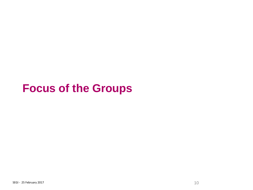## **Focus of the Groups**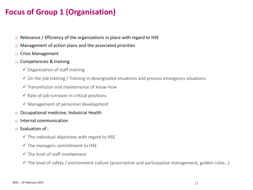### **Focus of Group 1 (Organisation)**

- o Relevance / Efficiency of the organizations in place with regard to HSE
- o Management of action plans and the associated priorities
- o Crisis Management
- o Competencies & training
	- $\checkmark$  Organization of staff training
	- $\checkmark$  On the job training / Training in downgraded situations and process emergency situations
	- $\checkmark$  Transmission and maintenance of know-how
	- $\checkmark$  Rate of job turnover in critical positions
	- $\checkmark$  Management of personnel development
- o Occupational medicine, Industrial Health
- o Internal communication
- o Evaluation of :
	- $\checkmark$  The individual objectives with regard to HSE
	- $\checkmark$  The managers commitment to HSE
	- $\checkmark$  The level of staff involvement
	- $\checkmark$  The level of safety / environment culture (prescriptive and participative management, golden rules...)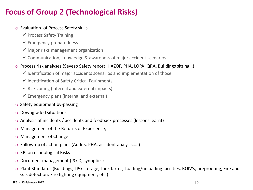### **Focus of Group 2 (Technological Risks)**

#### o Evaluation of Process Safety skills

- $\checkmark$  Process Safety Training
- $\checkmark$  Emergency preparedness
- $\checkmark$  Major risks management organization
- $\checkmark$  Communication, knowledge & awareness of major accident scenarios

#### o Process risk analyses (Seveso Safety report, HAZOP, PHA, LOPA, QRA, Buildings sitting…)

- $\checkmark$  Identification of major accidents scenarios and implementation of those
- $\checkmark$  Identification of Safety Critical Equipments
- $\checkmark$  Risk zoning (internal and external impacts)
- $\checkmark$  Emergency plans (internal and external)
- o Safety equipment by-passing
- o Downgraded situations
- o Analysis of incidents / accidents and feedback processes (lessons learnt)
- o Management of the Returns of Experience,
- o Management of Change
- o Follow-up of action plans (Audits, PHA, accident analysis,….)
- o KPI on echnological Risks
- o Document management (P&ID, synoptics)
- o Plant Standards (Buildings, LPG storage, Tank farms, Loading/unloading facilities, ROIV's, fireproofing, Fire and Gas detection, Fire fighting equipment, etc.)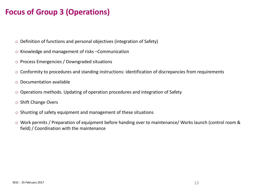### **Focus of Group 3 (Operations)**

- o Definition of functions and personal objectives (integration of Safety)
- o Knowledge and management of risks –Communication
- o Process Emergencies / Downgraded situations
- o Conformity to procedures and standing instructions: identification of discrepancies from requirements
- o Documentation available
- o Operations methods. Updating of operation procedures and integration of Safety
- o Shift Change Overs
- o Shunting of safety equipment and management of these situations
- o Work permits / Preparation of equipment before handing over to maintenance/ Works launch (control room & field) / Coordination with the maintenance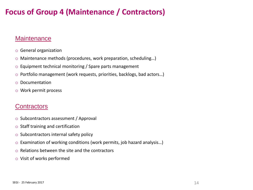### **Focus of Group 4 (Maintenance / Contractors)**

#### **Maintenance**

- o General organization
- o Maintenance methods (procedures, work preparation, scheduling…)
- o Equipment technical monitoring / Spare parts management
- o Portfolio management (work requests, priorities, backlogs, bad actors…)
- o Documentation
- o Work permit process

#### **Contractors**

- o Subcontractors assessment / Approval
- o Staff training and certification
- o Subcontractors internal safety policy
- o Examination of working conditions (work permits, job hazard analysis…)
- o Relations between the site and the contractors
- o Visit of works performed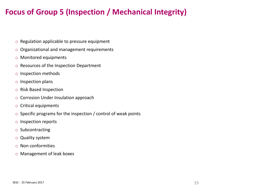### **Focus of Group 5 (Inspection / Mechanical Integrity)**

- o Regulation applicable to pressure equipment
- o Organizational and management requirements
- o Monitored equipments
- o Resources of the Inspection Department
- o Inspection methods
- o Inspection plans
- o Risk Based Inspection
- o Corrosion Under Insulation approach
- o Critical equipments
- $\circ$  Specific programs for the inspection / control of weak points
- o Inspection reports
- o Subcontracting
- o Quality system
- o Non conformities
- o Management of leak boxes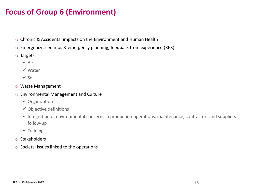### **Focus of Group 6 (Environment)**

- o Chronic & Accidental impacts on the Environment and Human Health
- o Emergency scenarios & emergency planning, feedback from experience (REX)
- o Targets:
	- $\checkmark$  Air
	- Water
	- $\checkmark$  Soil
- o Waste Management
- o Environmental Management and Culture
	- $\checkmark$  Organization
	- $\checkmark$  Objective definitions
	- $\checkmark$  Integration of environmental concerns in production operations, maintenance, contractors and suppliers follow-up
	- $\checkmark$  Training , ...
- o Stakeholders
- o Societal issues linked to the operations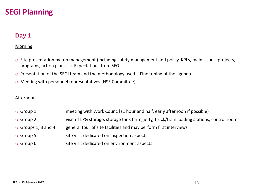#### **Day 1**

#### Morning

- o Site presentation by top management (including safety management and policy, KPI's, main issues, projects, programs, action plans,…). Expectations from SEGI
- $\circ$  Presentation of the SEGI team and the methodology used  $-$  Fine tuning of the agenda
- o Meeting with personnel representatives (HSE Committee)

#### Afternoon

- o Group 1 meeting with Work Council (1 hour and half, early afternoon if possible)
- o Group 2 visit of LPG storage, storage tank farm, jetty, truck/train loading stations, control rooms
- $\circ$  Groups 1, 3 and 4 general tour of site facilities and may perform first interviews
- o Group 5 site visit dedicated on inspection aspects
- o Group 6 site visit dedicated on environment aspects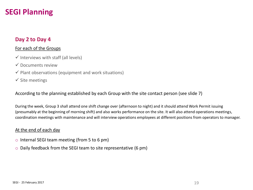#### **Day 2 to Day 4**

#### For each of the Groups

- $\checkmark$  Interviews with staff (all levels)
- $\checkmark$  Documents review
- $\checkmark$  Plant observations (equipment and work situations)
- $\checkmark$  Site meetings

According to the planning established by each Group with the site contact person (see slide 7)

During the week, Group 3 shall attend one shift change over (afternoon to night) and it should attend Work Permit issuing (presumably at the beginning of morning shift) and also works performance on the site. It will also attend operations meetings, coordination meetings with maintenance and will interview operations employees at different positions from operators to manager.

#### At the end of each day

- o Internal SEGI team meeting (from 5 to 6 pm)
- o Daily feedback from the SEGI team to site representative (6 pm)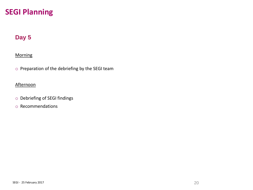#### **Day 5**

#### **Morning**

o Preparation of the debriefing by the SEGI team

#### **Afternoon**

- o Debriefing of SEGI findings
- o Recommendations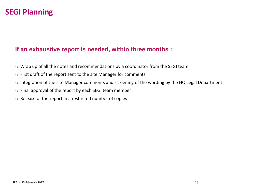#### **If an exhaustive report is needed, within three months :**

- o Wrap up of all the notes and recommendations by a coordinator from the SEGI team
- o First draft of the report sent to the site Manager for comments
- o Integration of the site Manager comments and screening of the wording by the HQ Legal Department
- o Final approval of the report by each SEGI team member
- o Release of the report in a restricted number of copies